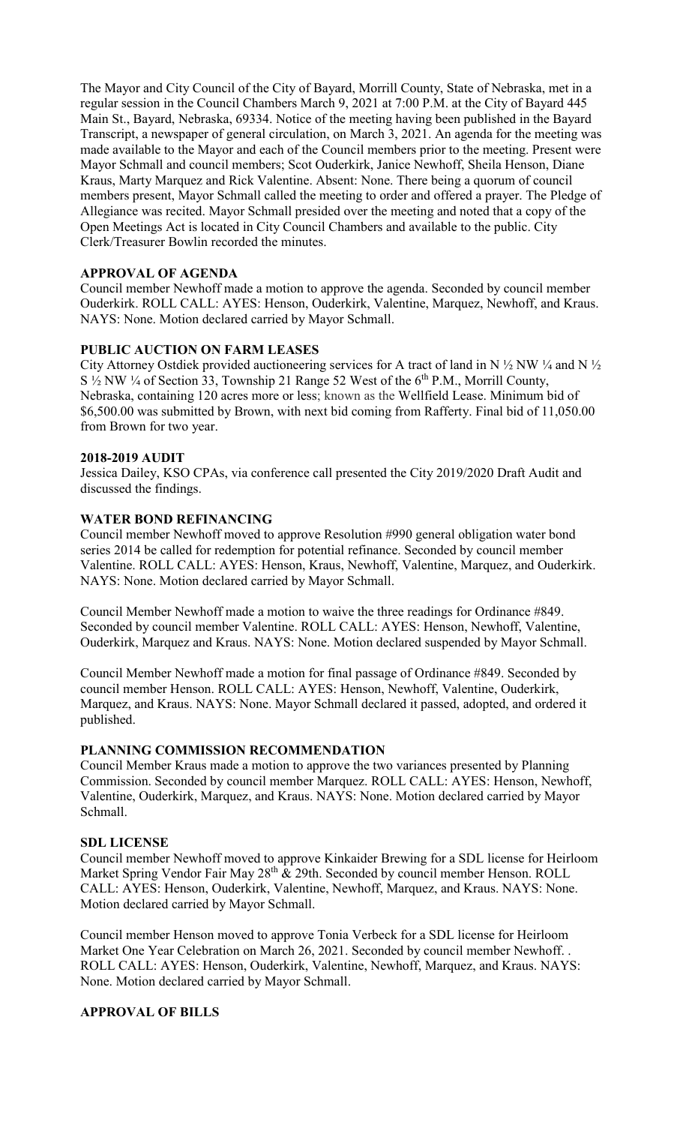The Mayor and City Council of the City of Bayard, Morrill County, State of Nebraska, met in a regular session in the Council Chambers March 9, 2021 at 7:00 P.M. at the City of Bayard 445 Main St., Bayard, Nebraska, 69334. Notice of the meeting having been published in the Bayard Transcript, a newspaper of general circulation, on March 3, 2021. An agenda for the meeting was made available to the Mayor and each of the Council members prior to the meeting. Present were Mayor Schmall and council members; Scot Ouderkirk, Janice Newhoff, Sheila Henson, Diane Kraus, Marty Marquez and Rick Valentine. Absent: None. There being a quorum of council members present, Mayor Schmall called the meeting to order and offered a prayer. The Pledge of Allegiance was recited. Mayor Schmall presided over the meeting and noted that a copy of the Open Meetings Act is located in City Council Chambers and available to the public. City Clerk/Treasurer Bowlin recorded the minutes.

# **APPROVAL OF AGENDA**

Council member Newhoff made a motion to approve the agenda. Seconded by council member Ouderkirk. ROLL CALL: AYES: Henson, Ouderkirk, Valentine, Marquez, Newhoff, and Kraus. NAYS: None. Motion declared carried by Mayor Schmall.

## **PUBLIC AUCTION ON FARM LEASES**

City Attorney Ostdiek provided auctioneering services for A tract of land in N  $\frac{1}{2}$  NW  $\frac{1}{4}$  and N  $\frac{1}{2}$  $S \frac{1}{2} NW \frac{1}{4}$  of Section 33, Township 21 Range 52 West of the 6<sup>th</sup> P.M., Morrill County, Nebraska, containing 120 acres more or less; known as the Wellfield Lease. Minimum bid of \$6,500.00 was submitted by Brown, with next bid coming from Rafferty. Final bid of 11,050.00 from Brown for two year.

## **2018-2019 AUDIT**

Jessica Dailey, KSO CPAs, via conference call presented the City 2019/2020 Draft Audit and discussed the findings.

## **WATER BOND REFINANCING**

Council member Newhoff moved to approve Resolution #990 general obligation water bond series 2014 be called for redemption for potential refinance. Seconded by council member Valentine. ROLL CALL: AYES: Henson, Kraus, Newhoff, Valentine, Marquez, and Ouderkirk. NAYS: None. Motion declared carried by Mayor Schmall.

Council Member Newhoff made a motion to waive the three readings for Ordinance #849. Seconded by council member Valentine. ROLL CALL: AYES: Henson, Newhoff, Valentine, Ouderkirk, Marquez and Kraus. NAYS: None. Motion declared suspended by Mayor Schmall.

Council Member Newhoff made a motion for final passage of Ordinance #849. Seconded by council member Henson. ROLL CALL: AYES: Henson, Newhoff, Valentine, Ouderkirk, Marquez, and Kraus. NAYS: None. Mayor Schmall declared it passed, adopted, and ordered it published.

## **PLANNING COMMISSION RECOMMENDATION**

Council Member Kraus made a motion to approve the two variances presented by Planning Commission. Seconded by council member Marquez. ROLL CALL: AYES: Henson, Newhoff, Valentine, Ouderkirk, Marquez, and Kraus. NAYS: None. Motion declared carried by Mayor Schmall.

#### **SDL LICENSE**

Council member Newhoff moved to approve Kinkaider Brewing for a SDL license for Heirloom Market Spring Vendor Fair May  $28<sup>th</sup>$  & 29th. Seconded by council member Henson. ROLL CALL: AYES: Henson, Ouderkirk, Valentine, Newhoff, Marquez, and Kraus. NAYS: None. Motion declared carried by Mayor Schmall.

Council member Henson moved to approve Tonia Verbeck for a SDL license for Heirloom Market One Year Celebration on March 26, 2021. Seconded by council member Newhoff. . ROLL CALL: AYES: Henson, Ouderkirk, Valentine, Newhoff, Marquez, and Kraus. NAYS: None. Motion declared carried by Mayor Schmall.

## **APPROVAL OF BILLS**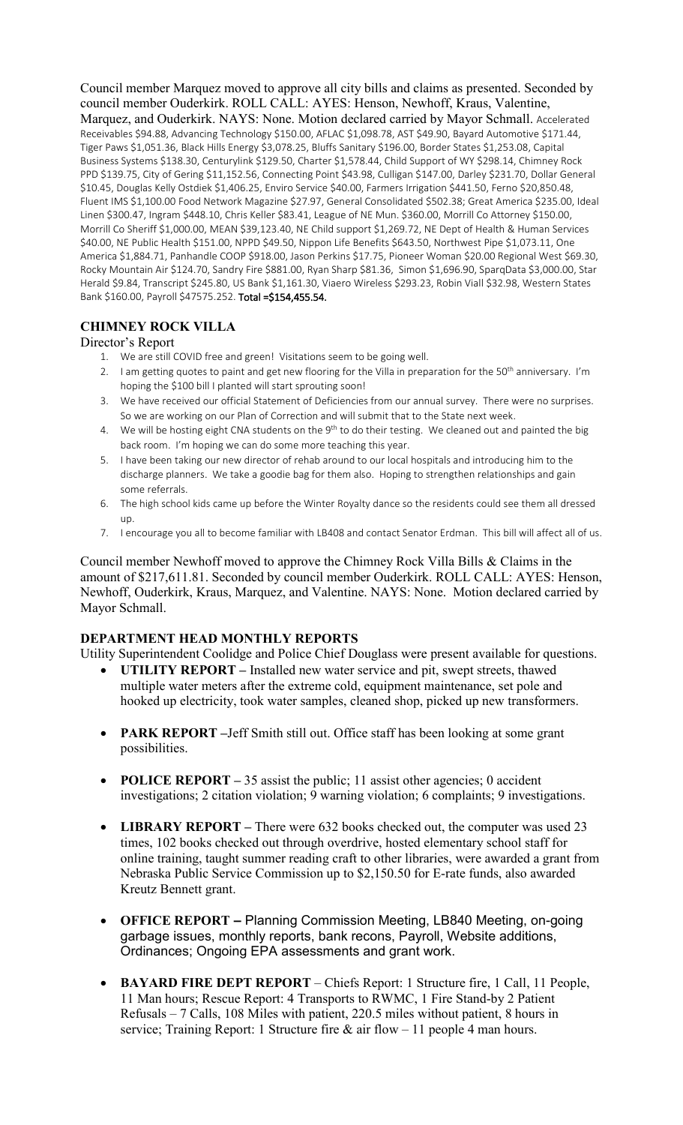Council member Marquez moved to approve all city bills and claims as presented. Seconded by council member Ouderkirk. ROLL CALL: AYES: Henson, Newhoff, Kraus, Valentine, Marquez, and Ouderkirk. NAYS: None. Motion declared carried by Mayor Schmall. Accelerated Receivables \$94.88, Advancing Technology \$150.00, AFLAC \$1,098.78, AST \$49.90, Bayard Automotive \$171.44, Tiger Paws \$1,051.36, Black Hills Energy \$3,078.25, Bluffs Sanitary \$196.00, Border States \$1,253.08, Capital Business Systems \$138.30, Centurylink \$129.50, Charter \$1,578.44, Child Support of WY \$298.14, Chimney Rock PPD \$139.75, City of Gering \$11,152.56, Connecting Point \$43.98, Culligan \$147.00, Darley \$231.70, Dollar General \$10.45, Douglas Kelly Ostdiek \$1,406.25, Enviro Service \$40.00, Farmers Irrigation \$441.50, Ferno \$20,850.48, Fluent IMS \$1,100.00 Food Network Magazine \$27.97, General Consolidated \$502.38; Great America \$235.00, Ideal Linen \$300.47, Ingram \$448.10, Chris Keller \$83.41, League of NE Mun. \$360.00, Morrill Co Attorney \$150.00, Morrill Co Sheriff \$1,000.00, MEAN \$39,123.40, NE Child support \$1,269.72, NE Dept of Health & Human Services \$40.00, NE Public Health \$151.00, NPPD \$49.50, Nippon Life Benefits \$643.50, Northwest Pipe \$1,073.11, One America \$1,884.71, Panhandle COOP \$918.00, Jason Perkins \$17.75, Pioneer Woman \$20.00 Regional West \$69.30, Rocky Mountain Air \$124.70, Sandry Fire \$881.00, Ryan Sharp \$81.36, Simon \$1,696.90, SparqData \$3,000.00, Star Herald \$9.84, Transcript \$245.80, US Bank \$1,161.30, Viaero Wireless \$293.23, Robin Viall \$32.98, Western States Bank \$160.00, Payroll \$47575.252. Total =\$154,455.54.

# **CHIMNEY ROCK VILLA**

#### Director's Report

- 1. We are still COVID free and green! Visitations seem to be going well.
- 2. I am getting quotes to paint and get new flooring for the Villa in preparation for the 50<sup>th</sup> anniversary. I'm hoping the \$100 bill I planted will start sprouting soon!
- 3. We have received our official Statement of Deficiencies from our annual survey. There were no surprises. So we are working on our Plan of Correction and will submit that to the State next week.
- 4. We will be hosting eight CNA students on the  $9<sup>th</sup>$  to do their testing. We cleaned out and painted the big back room. I'm hoping we can do some more teaching this year.
- 5. I have been taking our new director of rehab around to our local hospitals and introducing him to the discharge planners. We take a goodie bag for them also. Hoping to strengthen relationships and gain some referrals.
- 6. The high school kids came up before the Winter Royalty dance so the residents could see them all dressed up.
- 7. I encourage you all to become familiar with LB408 and contact Senator Erdman. This bill will affect all of us.

Council member Newhoff moved to approve the Chimney Rock Villa Bills & Claims in the amount of \$217,611.81. Seconded by council member Ouderkirk. ROLL CALL: AYES: Henson, Newhoff, Ouderkirk, Kraus, Marquez, and Valentine. NAYS: None. Motion declared carried by Mayor Schmall.

## **DEPARTMENT HEAD MONTHLY REPORTS**

Utility Superintendent Coolidge and Police Chief Douglass were present available for questions.

- **UTILITY REPORT –** Installed new water service and pit, swept streets, thawed multiple water meters after the extreme cold, equipment maintenance, set pole and hooked up electricity, took water samples, cleaned shop, picked up new transformers.
- **PARK REPORT** –Jeff Smith still out. Office staff has been looking at some grant possibilities.
- **POLICE REPORT** 35 assist the public; 11 assist other agencies; 0 accident investigations; 2 citation violation; 9 warning violation; 6 complaints; 9 investigations.
- **LIBRARY REPORT –** There were 632 books checked out, the computer was used 23 times, 102 books checked out through overdrive, hosted elementary school staff for online training, taught summer reading craft to other libraries, were awarded a grant from Nebraska Public Service Commission up to \$2,150.50 for E-rate funds, also awarded Kreutz Bennett grant.
- **OFFICE REPORT –** Planning Commission Meeting, LB840 Meeting, on-going garbage issues, monthly reports, bank recons, Payroll, Website additions, Ordinances; Ongoing EPA assessments and grant work.
- **BAYARD FIRE DEPT REPORT**  Chiefs Report: 1 Structure fire, 1 Call, 11 People, 11 Man hours; Rescue Report: 4 Transports to RWMC, 1 Fire Stand-by 2 Patient Refusals – 7 Calls, 108 Miles with patient, 220.5 miles without patient, 8 hours in service; Training Report: 1 Structure fire  $\&$  air flow – 11 people 4 man hours.